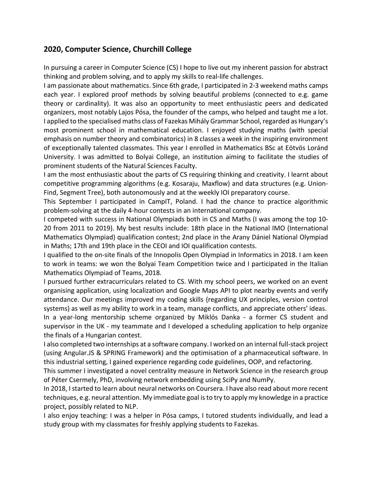## **2020, Computer Science, Churchill College**

In pursuing a career in Computer Science (CS) I hope to live out my inherent passion for abstract thinking and problem solving, and to apply my skills to real-life challenges.

I am passionate about mathematics. Since 6th grade, I participated in 2-3 weekend maths camps each year. I explored proof methods by solving beautiful problems (connected to e.g. game theory or cardinality). It was also an opportunity to meet enthusiastic peers and dedicated organizers, most notably Lajos Pósa, the founder of the camps, who helped and taught me a lot. I applied to the specialised maths class of Fazekas Mihály Grammar School, regarded as Hungary's most prominent school in mathematical education. I enjoyed studying maths (with special emphasis on number theory and combinatorics) in 8 classes a week in the inspiring environment of exceptionally talented classmates. This year I enrolled in Mathematics BSc at Eötvös Loránd University. I was admitted to Bolyai College, an institution aiming to facilitate the studies of prominent students of the Natural Sciences Faculty.

I am the most enthusiastic about the parts of CS requiring thinking and creativity. I learnt about competitive programming algorithms (e.g. Kosaraju, Maxflow) and data structures (e.g. Union-Find, Segment Tree), both autonomously and at the weekly IOI preparatory course.

This September I participated in CampIT, Poland. I had the chance to practice algorithmic problem-solving at the daily 4-hour contests in an international company.

I competed with success in National Olympiads both in CS and Maths (I was among the top 10- 20 from 2011 to 2019). My best results include: 18th place in the National IMO (International Mathematics Olympiad) qualification contest; 2nd place in the Arany Dániel National Olympiad in Maths; 17th and 19th place in the CEOI and IOI qualification contests.

I qualified to the on-site finals of the Innopolis Open Olympiad in Informatics in 2018. I am keen to work in teams: we won the Bolyai Team Competition twice and I participated in the Italian Mathematics Olympiad of Teams, 2018.

I pursued further extracurriculars related to CS. With my school peers, we worked on an event organising application, using localization and Google Maps API to plot nearby events and verify attendance. Our meetings improved my coding skills (regarding UX principles, version control systems) as well as my ability to work in a team, manage conflicts, and appreciate others' ideas.

In a year-long mentorship scheme organized by Miklós Danka - a former CS student and supervisor in the UK - my teammate and I developed a scheduling application to help organize the finals of a Hungarian contest.

I also completed two internships at a software company. I worked on an internal full-stack project (using Angular.JS & SPRING Framework) and the optimisation of a pharmaceutical software. In this industrial setting, I gained experience regarding code guidelines, OOP, and refactoring.

This summer I investigated a novel centrality measure in Network Science in the research group of Péter Csermely, PhD, involving network embedding using SciPy and NumPy.

In 2018, I started to learn about neural networks on Coursera. I have also read about more recent techniques, e.g. neural attention. My immediate goal is to try to apply my knowledge in a practice project, possibly related to NLP.

I also enjoy teaching: I was a helper in Pósa camps, I tutored students individually, and lead a study group with my classmates for freshly applying students to Fazekas.